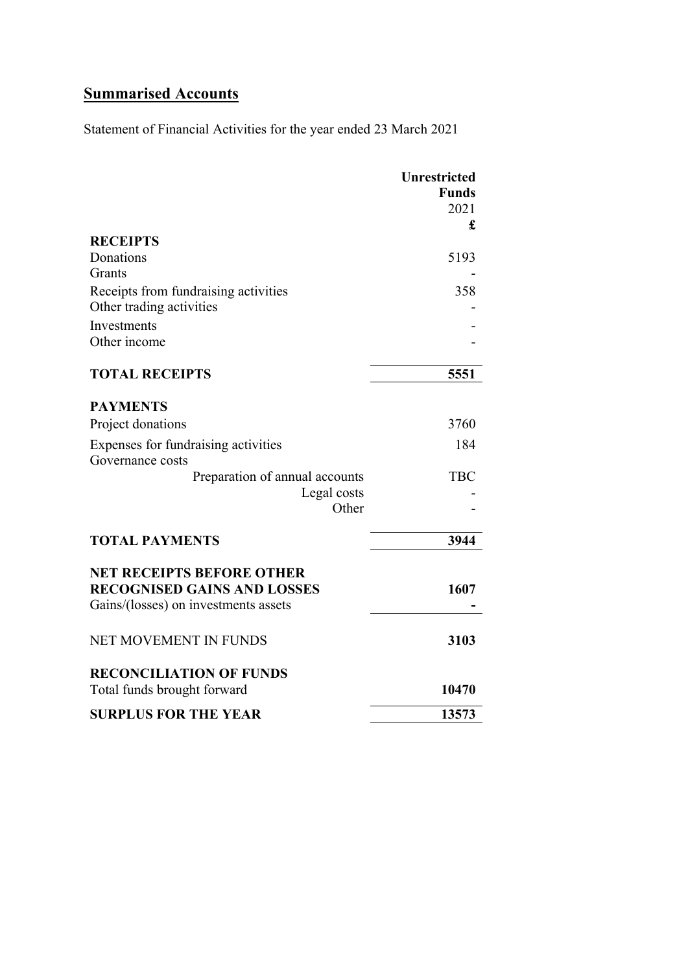# **Summarised Accounts**

Statement of Financial Activities for the year ended 23 March 2021

|                                                                        | <b>Unrestricted</b><br><b>Funds</b><br>2021 |
|------------------------------------------------------------------------|---------------------------------------------|
|                                                                        | £                                           |
| <b>RECEIPTS</b>                                                        |                                             |
| Donations                                                              | 5193                                        |
| Grants                                                                 |                                             |
| Receipts from fundraising activities                                   | 358                                         |
| Other trading activities                                               |                                             |
| Investments                                                            |                                             |
| Other income                                                           |                                             |
| <b>TOTAL RECEIPTS</b>                                                  | 5551                                        |
| <b>PAYMENTS</b>                                                        |                                             |
| Project donations                                                      | 3760                                        |
| Expenses for fundraising activities<br>Governance costs                | 184                                         |
| Preparation of annual accounts                                         | <b>TBC</b>                                  |
| Legal costs                                                            |                                             |
| Other                                                                  |                                             |
| <b>TOTAL PAYMENTS</b>                                                  | 3944                                        |
|                                                                        |                                             |
| <b>NET RECEIPTS BEFORE OTHER</b><br><b>RECOGNISED GAINS AND LOSSES</b> | 1607                                        |
| Gains/(losses) on investments assets                                   |                                             |
| <b>NET MOVEMENT IN FUNDS</b>                                           | 3103                                        |
| <b>RECONCILIATION OF FUNDS</b>                                         |                                             |
| Total funds brought forward                                            | 10470                                       |
| <b>SURPLUS FOR THE YEAR</b>                                            | 13573                                       |